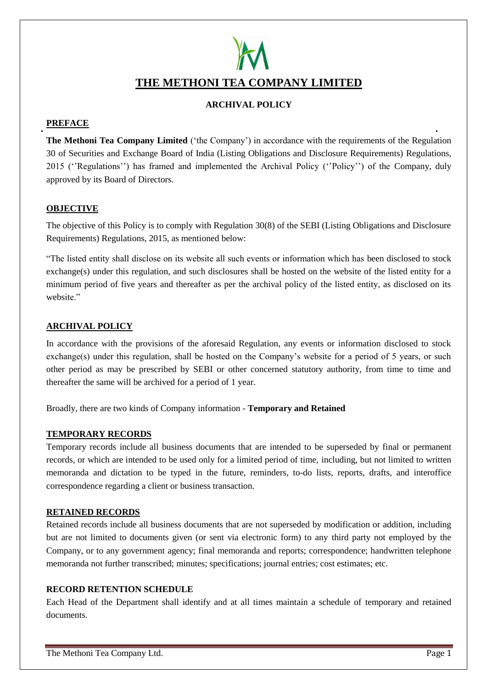# **THE METHONI TEA COMPANY LIMITED**

# **ARCHIVAL POLICY**

# **PREFACE**

**The Methoni Tea Company Limited** ('the Company') in accordance with the requirements of the Regulation 30 of Securities and Exchange Board of India (Listing Obligations and Disclosure Requirements) Regulations, 2015 (''Regulations'') has framed and implemented the Archival Policy (''Policy'') of the Company, duly approved by its Board of Directors.

# **OBJECTIVE**

The objective of this Policy is to comply with Regulation 30(8) of the SEBI (Listing Obligations and Disclosure Requirements) Regulations, 2015, as mentioned below:

"The listed entity shall disclose on its website all such events or information which has been disclosed to stock exchange(s) under this regulation, and such disclosures shall be hosted on the website of the listed entity for a minimum period of five years and thereafter as per the archival policy of the listed entity, as disclosed on its website."

# **ARCHIVAL POLICY**

In accordance with the provisions of the aforesaid Regulation, any events or information disclosed to stock exchange(s) under this regulation, shall be hosted on the Company's website for a period of 5 years, or such other period as may be prescribed by SEBI or other concerned statutory authority, from time to time and thereafter the same will be archived for a period of 1 year.

Broadly, there are two kinds of Company information - **Temporary and Retained**

# **TEMPORARY RECORDS**

Temporary records include all business documents that are intended to be superseded by final or permanent records, or which are intended to be used only for a limited period of time, including, but not limited to written memoranda and dictation to be typed in the future, reminders, to-do lists, reports, drafts, and interoffice correspondence regarding a client or business transaction.

# **RETAINED RECORDS**

Retained records include all business documents that are not superseded by modification or addition, including but are not limited to documents given (or sent via electronic form) to any third party not employed by the Company, or to any government agency; final memoranda and reports; correspondence; handwritten telephone memoranda not further transcribed; minutes; specifications; journal entries; cost estimates; etc.

# **RECORD RETENTION SCHEDULE**

Each Head of the Department shall identify and at all times maintain a schedule of temporary and retained documents.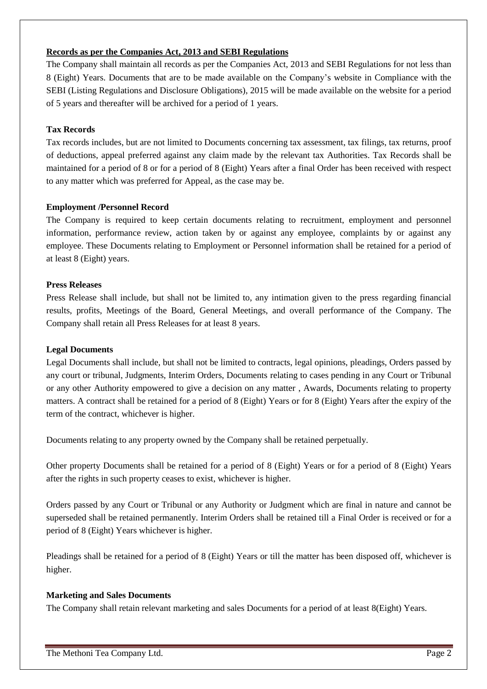# **Records as per the Companies Act, 2013 and SEBI Regulations**

The Company shall maintain all records as per the Companies Act, 2013 and SEBI Regulations for not less than 8 (Eight) Years. Documents that are to be made available on the Company's website in Compliance with the SEBI (Listing Regulations and Disclosure Obligations), 2015 will be made available on the website for a period of 5 years and thereafter will be archived for a period of 1 years.

# **Tax Records**

Tax records includes, but are not limited to Documents concerning tax assessment, tax filings, tax returns, proof of deductions, appeal preferred against any claim made by the relevant tax Authorities. Tax Records shall be maintained for a period of 8 or for a period of 8 (Eight) Years after a final Order has been received with respect to any matter which was preferred for Appeal, as the case may be.

# **Employment /Personnel Record**

The Company is required to keep certain documents relating to recruitment, employment and personnel information, performance review, action taken by or against any employee, complaints by or against any employee. These Documents relating to Employment or Personnel information shall be retained for a period of at least 8 (Eight) years.

#### **Press Releases**

Press Release shall include, but shall not be limited to, any intimation given to the press regarding financial results, profits, Meetings of the Board, General Meetings, and overall performance of the Company. The Company shall retain all Press Releases for at least 8 years.

#### **Legal Documents**

Legal Documents shall include, but shall not be limited to contracts, legal opinions, pleadings, Orders passed by any court or tribunal, Judgments, Interim Orders, Documents relating to cases pending in any Court or Tribunal or any other Authority empowered to give a decision on any matter , Awards, Documents relating to property matters. A contract shall be retained for a period of 8 (Eight) Years or for 8 (Eight) Years after the expiry of the term of the contract, whichever is higher.

Documents relating to any property owned by the Company shall be retained perpetually.

Other property Documents shall be retained for a period of 8 (Eight) Years or for a period of 8 (Eight) Years after the rights in such property ceases to exist, whichever is higher.

Orders passed by any Court or Tribunal or any Authority or Judgment which are final in nature and cannot be superseded shall be retained permanently. Interim Orders shall be retained till a Final Order is received or for a period of 8 (Eight) Years whichever is higher.

Pleadings shall be retained for a period of 8 (Eight) Years or till the matter has been disposed off, whichever is higher.

# **Marketing and Sales Documents**

The Company shall retain relevant marketing and sales Documents for a period of at least 8(Eight) Years.